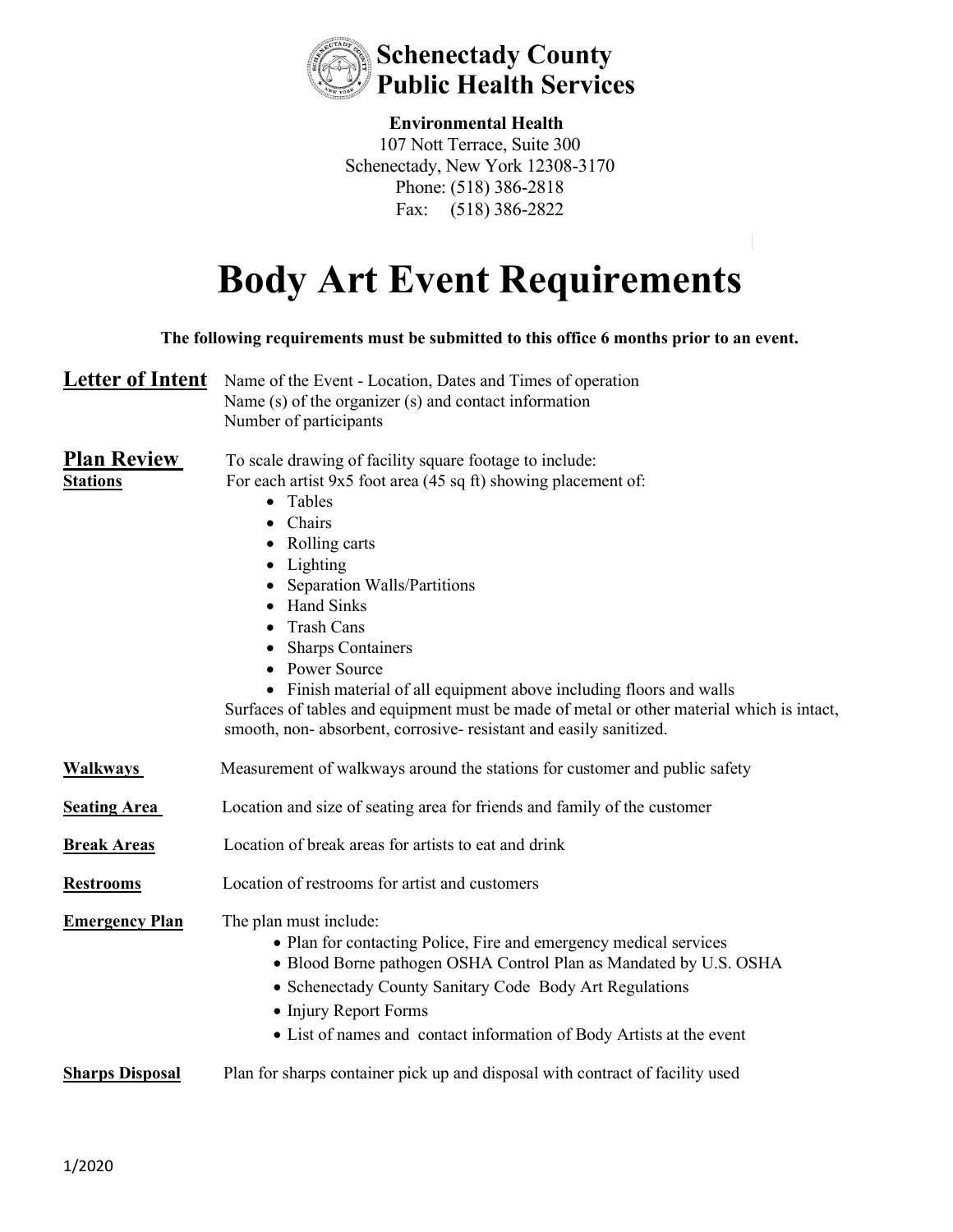

## **Environmental Health** 107 Nott Terrace, Suite 300 Schenectady, New York 12308-3170 Phone: (518) 386-2818 Fax: (518) 386-2822

## **Body Art Event Requirements**

**The following requirements must be submitted to this office 6 months prior to an event.**  Letter of Intent Name of the Event - Location, Dates and Times of operation Name (s) of the organizer (s) and contact information Number of participants **Plan Review** To scale drawing of facility square footage to include: **Stations** For each artist 9x5 foot area (45 sq ft) showing placement of: • Tables • Chairs • Rolling carts • Lighting • Separation Walls/Partitions • Hand Sinks • Trash Cans • Sharps Containers • Power Source • Finish material of all equipment above including floors and walls Surfaces of tables and equipment must be made of metal or other material which is intact, smooth, non- absorbent, corrosive- resistant and easily sanitized. **Walkways** Measurement of walkways around the stations for customer and public safety **Seating Area** Location and size of seating area for friends and family of the customer **Break Areas** Location of break areas for artists to eat and drink **Restrooms** Location of restrooms for artist and customers **Emergency Plan** The plan must include: • Plan for contacting Police, Fire and emergency medical services • Blood Borne pathogen OSHA Control Plan as Mandated by U.S. OSHA • Schenectady County Sanitary Code Body Art Regulations • Injury Report Forms • List of names and contact information of Body Artists at the event **Sharps Disposal** Plan for sharps container pick up and disposal with contract of facility used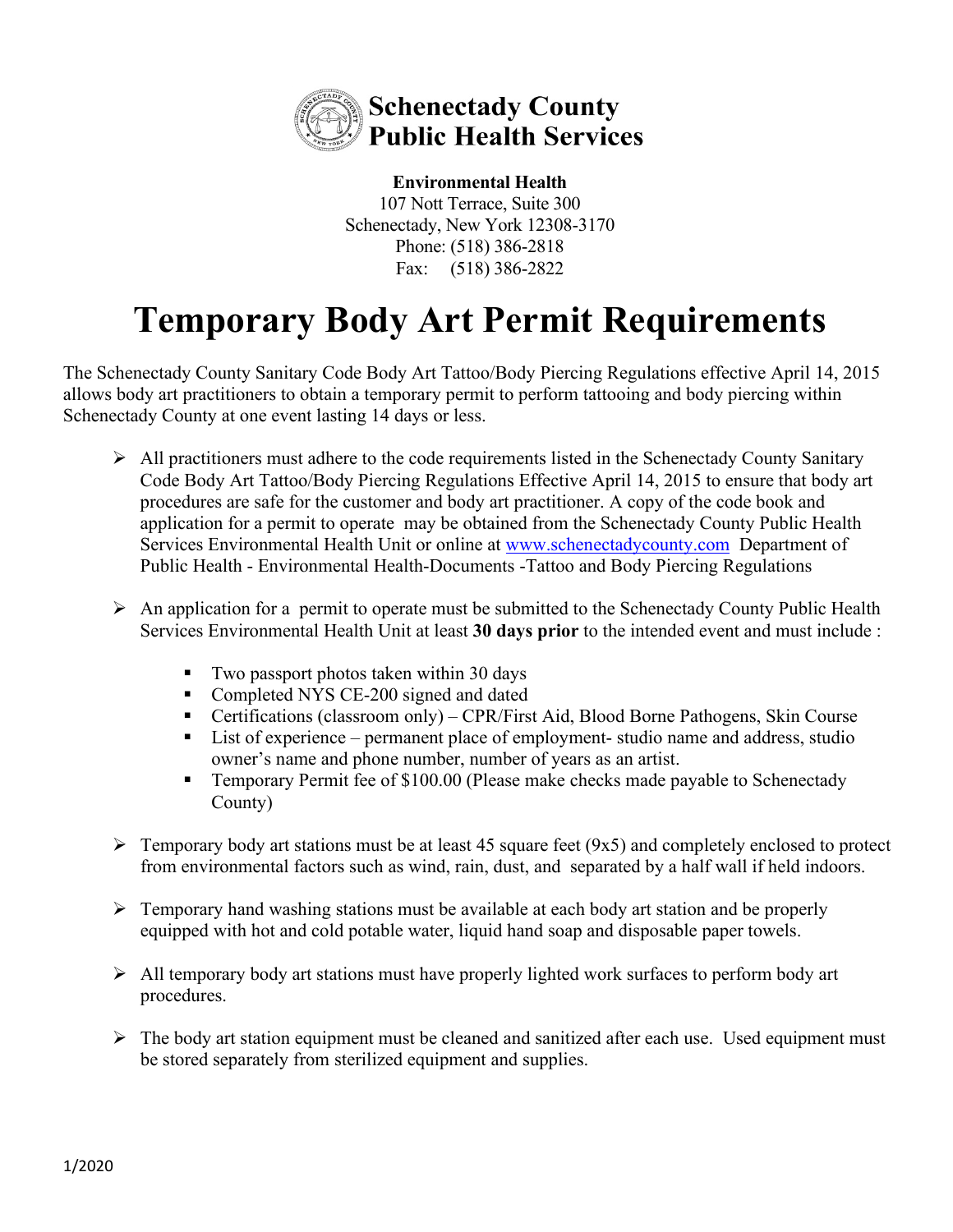

**Environmental Health** 107 Nott Terrace, Suite 300 Schenectady, New York 12308-3170 Phone: (518) 386-2818 Fax: (518) 386-2822

## **Temporary Body Art Permit Requirements**

The Schenectady County Sanitary Code Body Art Tattoo/Body Piercing Regulations effective April 14, 2015 allows body art practitioners to obtain a temporary permit to perform tattooing and body piercing within Schenectady County at one event lasting 14 days or less.

- $\triangleright$  All practitioners must adhere to the code requirements listed in the Schenectady County Sanitary Code Body Art Tattoo/Body Piercing Regulations Effective April 14, 2015 to ensure that body art procedures are safe for the customer and body art practitioner. A copy of the code book and application for a permit to operate may be obtained from the Schenectady County Public Health Services Environmental Health Unit or online at [www.schenectadycounty.com](http://www.schenectadycounty.com/) Department of Public Health - Environmental Health-Documents -Tattoo and Body Piercing Regulations
- $\triangleright$  An application for a permit to operate must be submitted to the Schenectady County Public Health Services Environmental Health Unit at least **30 days prior** to the intended event and must include :
	- Two passport photos taken within 30 days
	- Completed NYS CE-200 signed and dated
	- Certifications (classroom only) CPR/First Aid, Blood Borne Pathogens, Skin Course
	- List of experience permanent place of employment- studio name and address, studio owner's name and phone number, number of years as an artist.
	- Temporary Permit fee of \$100.00 (Please make checks made payable to Schenectady County)
- $\triangleright$  Temporary body art stations must be at least 45 square feet (9x5) and completely enclosed to protect from environmental factors such as wind, rain, dust, and separated by a half wall if held indoors.
- $\triangleright$  Temporary hand washing stations must be available at each body art station and be properly equipped with hot and cold potable water, liquid hand soap and disposable paper towels.
- $\triangleright$  All temporary body art stations must have properly lighted work surfaces to perform body art procedures.
- $\triangleright$  The body art station equipment must be cleaned and sanitized after each use. Used equipment must be stored separately from sterilized equipment and supplies.